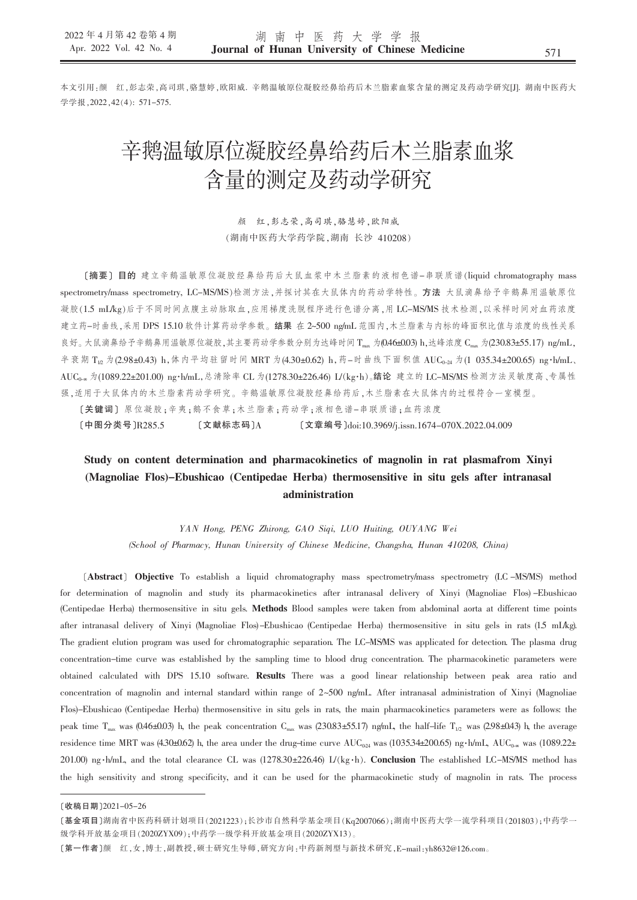本文引用:颜 红,彭志荣,高司琪,骆慧婷,欧阳威. 辛鹅温敏原位凝胶经鼻给药后木兰脂素血浆含量的测定及药动学研究[J]. 湖南中医药大 学学报.2022.42(4): 571-575.

# 辛鹅温敏原位凝胶经鼻给药后木兰脂素血浆 含量的测定及药动学研究

颜 红,彭志荣,高司琪,骆慧婷,欧阳威 (湖南中医药大学药学院,湖南 长沙 410208)

[摘要] 目的 建立辛鹅温敏原位凝胶经鼻给药后大鼠血浆中木兰脂素的液相色谱-串联质谱(liquid chromatography mass spectrometry/mass spectrometry, LC-MS/MS)检测方法,并探讨其在大鼠体内的药动学特性。方法 大鼠滴鼻给予辛鹅鼻用温敏原位 凝胶(1.5 mL/kg)后于不同时间点腹主动脉取血,应用梯度洗脱程序进行色谱分离,用 LC-MS/MS 技术检测,以采样时间对血药浓度 建立药-时曲线,采用 DPS 15.10 软件计算药动学参数。结果 在 2~500 ng/mL 范围内,木兰脂素与内标的峰面积比值与浓度的线性关系 良好。大鼠滴鼻给予辛鹅鼻用温敏原位凝胶,其主要药动学参数分别为达峰时间 Tmax 为(0.46±0.03) h,达峰浓度 Cmax 为(230.83±55.17) ng/mL, 半衰期 T<sub>12</sub> 为(2.98±0.43) h, 体内平均驻留时间 MRT 为(4.30±0.62) h, 药-时曲线下面积值 AUC<sub>0-24</sub> 为(1 035.34±200.65) ng·h/mL、 AUC<sub>0-x</sub> 为(1089.22±201.00) ng·h/mL,总清除率 CL 为(1278.30±226.46) L/(kg·h)。结论 建立的 LC-MS/MS 检测方法灵敏度高、专属性 强,适用于大鼠体内的木兰脂素药动学研究。辛鹅温敏原位凝胶经鼻给药后,木兰脂素在大鼠体内的过程符合一室模型。 [关键词] 原位凝胶;辛夷;鹅不食草;木兰脂素;药动学;液相色谱-串联质谱;血药浓度

[中图分类号]R285.5 [文献标志码]A [文章编号]doi:10.3969/j.issn.1674-070X.2022.04.009

# Study on content determination and pharmacokinetics of magnolin in rat plasmafrom Xinyi (Magnoliae Flos)–Ebushicao (Centipedae Herba) thermosensitive in situ gels after intranasal administration

YAN Hong, PENG Zhirong, GAO Siqi, LUO Huiting, OUYANG Wei (School of Pharmacy, Hunan University of Chinese Medicine, Changsha, Hunan 410208, China)

[Abstract] Objective To establish a liquid chromatography mass spectrometry/mass spectrometry (LC-MS/MS) method for determination of magnolin and study its pharmacokinetics after intranasal delivery of Xinyi (Magnoliae Flos)-Ebushicao (Centipedae Herba) thermosensitive in situ gels. Methods Blood samples were taken from abdominal aorta at different time points after intranasal delivery of Xinyi (Magnoliae Flos)-Ebushicao (Centipedae Herba) thermosensitive in situ gels in rats (15 mL/kg). The gradient elution program was used for chromatographic separation. The LC-MSMS was applicated for detection. The plasma drug concentration-time curve was established by the sampling time to blood drug concentration. The pharmacokinetic parameters were obtained calculated with DPS 15.10 software. Results There was a good linear relationship between peak area ratio and concentration of magnolin and internal standard within range of 2~500 ng/mL. After intranasal administration of Xinyi (Magnoliae Flos)-Ebushicao (Centipedae Herba) thermosensitive in situ gels in rats, the main pharmacokinetics parameters were as follows: the peak time T<sub>nax</sub> was (0.46±0.03) h, the peak concentration C<sub>nax</sub> was (230.83±55.17) ng/mL, the half-life T<sub>1/2</sub> was (2.98±0.43) h, the average residence time MRT was (4.30±0.62) h, the area under the drug-time curve  $AUC_{0.24}$  was (1035.34±200.65) ng h/mL,  $AUC_{0.26}$  was (1089.22± 201.00) ng h/mL, and the total clearance CL was (1278.30±226.46) L/(kg h). Conclusion The established LC-MS/MS method has the high sensitivity and strong specificity, and it can be used for the pharmacokinetic study of magnolin in rats. The process

<sup>[</sup>收稿日期]2021-05-26

<sup>[</sup>基金项目]湖南省中医药科研计划项目(2021223);长沙市自然科学基金项目(Kq2007066);湖南中医药大学一流学科项目(201803);中药学一 级学科开放基金项目(2020ZYX09);中药学一级学科开放基金项目(2020ZYX13)。

<sup>[</sup>第一作者]颜 红,女,博士,副教授,硕士研究生导师,研究方向:中药新剂型与新技术研究,E-mail:yh8632@126.com。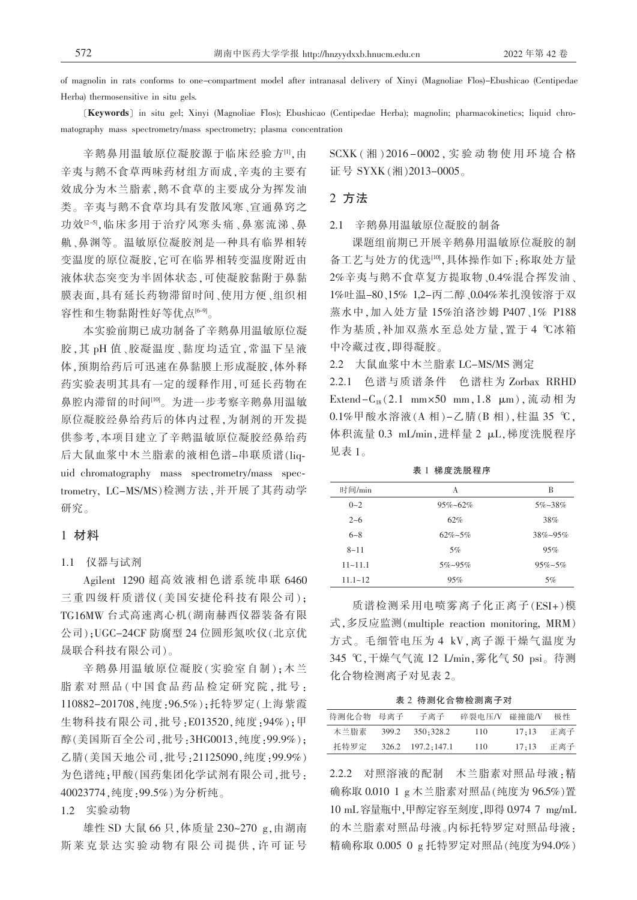of magnolin in rats conforms to one-compartment model after intranasal delivery of Xinyi (Magnoliae Flos)-Ebushicao (Centipedae Herba) thermosensitive in situ gels.

[Keywords] in situ gel; Xinyi (Magnoliae Flos); Ebushicao (Centipedae Herba); magnolin; pharmacokinetics; liquid chromatography mass spectrometry/mass spectrometry; plasma concentration

辛鹅鼻用温敏原位凝胶源于临床经验方[1],由 辛夷与鹅不食草两味药材组方而成,辛夷的主要有 效成分为木兰脂素,鹅不食草的主要成分为挥发油 类。辛夷与鹅不食草均具有发散风寒、宣通鼻窍之 功效<sup>[2-5]</sup>,临床多用于治疗风寒头痛、鼻塞流涕、鼻 鼽、鼻渊等。温敏原位凝胶剂是一种具有临界相转 变温度的原位凝胶,它可在临界相转变温度附近由 液体状态突变为半固体状态,可使凝胶黏附于鼻黏 膜表面,具有延长药物滞留时间、使用方便、组织相 容性和生物黏附性好等优点[6-9]。

本实验前期已成功制备了辛鹅鼻用温敏原位凝 胶,其 pH 值、胶凝温度、黏度均适宜,常温下呈液 体,预期给药后可迅速在鼻黏膜上形成凝胶,体外释 药实验表明其具有一定的缓释作用,可延长药物在 鼻腔内滞留的时间<sup>[10]</sup>。为进一步考察辛鹅鼻用温敏 原位凝胶经鼻给药后的体内过程,为制剂的开发提 供参考,本项目建立了辛鹅温敏原位凝胶经鼻给药 后大鼠血浆中木兰脂素的液相色谱-串联质谱(liquid chromatography mass spectrometry/mass spectrometry, LC-MS/MS)检测方法,并开展了其药动学 研究。

## 1 材料

## 1.1 仪器与试剂

Agilent 1290 超高效液相色谱系统串联 6460 三重四级杆质谱仪(美国安捷伦科技有限公司); TG16MW 台式高速离心机(湖南赫西仪器装备有限 公司):UGC-24CF 防腐型 24 位圆形氮吹仪(北京优 晟联合科技有限公司)。

辛鹅鼻用温敏原位凝胶(实验室自制);木兰 脂素对照品(中国食品药品检定研究院,批号: 110882-201708, 纯度: 96.5%); 托特罗定(上海紫霞 生物科技有限公司,批号:E013520,纯度:94%);甲 醇(美国斯百全公司,批号:3HG0013,纯度:99.9%); 乙腈(美国天地公司,批号:21125090,纯度:99.9%) 为色谱纯;甲酸(国药集团化学试剂有限公司,批号: 40023774, 纯度: 99.5%) 为分析纯。

1.2 实验动物

雄性 SD 大鼠 66 只, 体质量 230~270 g, 由湖南 斯莱克景达实验动物有限公司提供,许可证号 SCXK (湘) 2016-0002, 实验动物使用环境合格 证号 SYXK(湘)2013-0005。

#### 2 方法

2.1 辛鹅鼻用温敏原位凝胶的制备

课题组前期已开展辛鹅鼻用温敏原位凝胶的制 备工艺与处方的优选[10],具体操作如下:称取处方量 2%辛夷与鹅不食草复方提取物、0.4%混合挥发油、 1%吐温-80、15% 1,2-丙二醇、0.04%苯扎溴铵溶于双 蒸水中,加入处方量 15%泊洛沙姆 P407、1% P188 作为基质,补加双蒸水至总处方量,置于4℃冰箱 中冷藏过夜,即得凝胶。

2.2 大鼠血浆中木兰脂素 LC-MS/MS 测定

2.2.1 色谱与质谱条件 色谱柱为 Zorbax RRHD Extend -  $C_{18}(2.1$  mm×50 mm, 1.8 μm), 流动相为 0.1%甲酸水溶液(A相)-乙腈(B相),柱温 35 ℃, 体积流量 0.3 mL/min,进样量 2 µL,梯度洗脱程序 见表 1。

表 1 梯度洗脱程序

| 时间/min      | А               | В               |
|-------------|-----------------|-----------------|
| $0 - 2$     | $95\% - 62\%$   | $5\% - 38\%$    |
| $2 - 6$     | 62%             | 38%             |
| $6 - 8$     | $62\% - 5\%$    | $38\% - 95\%$   |
| $8 - 11$    | 5%              | 95%             |
| $11 - 11.1$ | $5\% \sim 95\%$ | $95\% \sim 5\%$ |
| $11.1 - 12$ | 95%             | 5%              |

质谱检测采用电喷雾离子化正离子(ESI+)模 式,多反应监测(multiple reaction monitoring, MRM) 方式。毛细管电压为 4 kV,离子源干燥气温度为 345 ℃,干燥气气流 12 L/min,雾化气 50 psi。待测 化合物检测离子对见表 2。

表 2 待测化合物检测离子对

| 待测化合物 母离子 |       | 子离子               | 碎裂电压/V | 碰撞能/V | 极性  |
|-----------|-------|-------------------|--------|-------|-----|
| 木兰脂素      | 399.2 | 350:328.2         | 110    | 17:13 | 正离子 |
| 托特罗定      |       | 326.2 197.2:147.1 | 110    | 17:13 | 正离子 |

2.2.2 对照溶液的配制 木兰脂素对照品母液:精 确称取 0.010 1 g 木兰脂素对照品(纯度为 96.5%)置 10 mL 容量瓶中,甲醇定容至刻度,即得 0.974 7 mg/mL 的木兰脂素对照品母液。内标托特罗定对照品母液: 精确称取 0.005 0 g 托特罗定对照品(纯度为94.0%)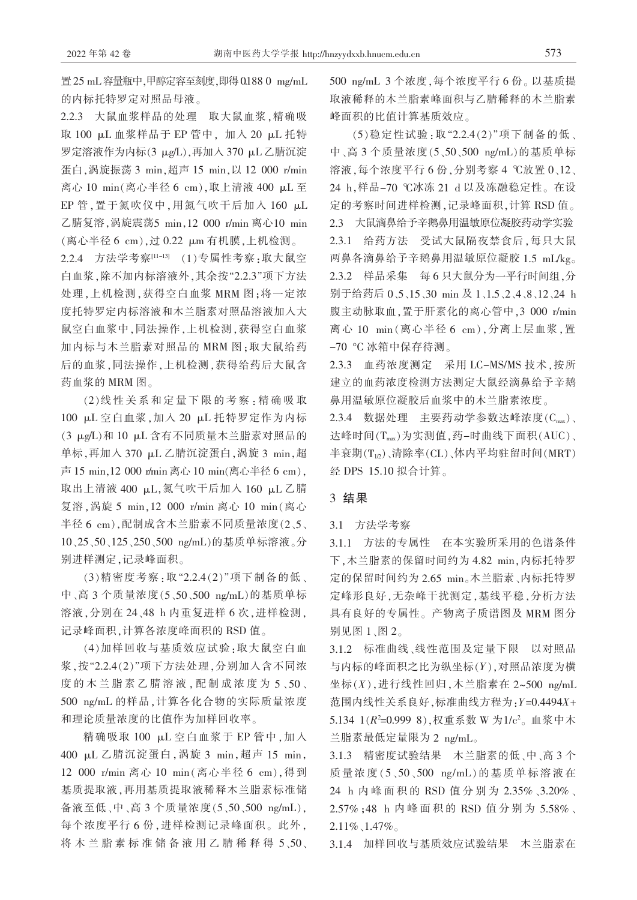置 25 mL 容量瓶中,甲醇定容至刻度,即得 0188 0 mg/mL 的内标托特罗定对照品母液。

2.2.3 大鼠血浆样品的处理 取大鼠血浆,精确吸 取 100 µL 血浆样品于 EP 管中, 加入 20 µL 托特 罗定溶液作为内标(3 μg/L),再加入 370 μL 乙腈沉淀 蛋白, 涡旋振荡 3 min, 超声 15 min, 以 12 000 r/min 离心 10 min(离心半径 6 cm),取上清液 400 μL至 EP 管, 置于氮吹仪中, 用氮气吹干后加入 160 µL 乙腈复溶, 涡旋震荡5 min, 12 000 r/min 离心10 min (离心半径 6 cm),过 0.22 μm 有机膜,上机检测。

2.2.4 方法学考察[11-13] (1)专属性考察:取大鼠空 白血浆,除不加内标溶液外,其余按"2.2.3"项下方法 处理,上机检测,获得空白血浆 MRM 图:将一定浓 度托特罗定内标溶液和木兰脂素对照品溶液加入大 鼠空白血浆中,同法操作,上机检测,获得空白血浆 加内标与木兰脂素对照品的 MRM 图:取大鼠给药 后的血浆,同法操作,上机检测,获得给药后大鼠含 药血浆的 MRM 图。

(2)线性关系和定量下限的考察:精确吸取 100 µL 空白血浆, 加入 20 µL 托特罗定作为内标 (3 μg/L)和 10 μL 含有不同质量木兰脂素对照品的 单标,再加入 370 μL 乙腈沉淀蛋白, 涡旋 3 min, 超 声 15 min, 12 000 r/min 离心 10 min(离心半径 6 cm), 取出上清液 400 μL,氮气吹干后加入 160 μL 乙腈 复溶, 涡旋 5 min, 12 000 r/min 离心 10 min(离心 半径 6 cm),配制成含木兰脂素不同质量浓度(2、5、 10、25、50、125、250、500 ng/mL)的基质单标溶液。分 别进样测定,记录峰面积。

(3)精密度考察:取"2.2.4(2)"项下制备的低、 中、高 3 个质量浓度(5、50、500 ng/mL)的基质单标 溶液,分别在 24、48 h 内重复进样 6 次,进样检测, 记录峰面积,计算各浓度峰面积的 RSD 值。

(4)加样回收与基质效应试验:取大鼠空白血 浆,按"2.2.4(2)"项下方法处理,分别加入含不同浓 度的木兰脂素乙腈溶液,配制成浓度为5、50、 500 ng/mL 的样品, 计算各化合物的实际质量浓度 和理论质量浓度的比值作为加样回收率。

精确吸取 100 μL 空白血浆于 EP 管中, 加入 400 μL 乙腈沉淀蛋白, 涡旋 3 min, 超声 15 min, 12 000 r/min 离心 10 min(离心半径 6 cm),得到 基质提取液,再用基质提取液稀释木兰脂素标准储 备液至低、中、高 3 个质量浓度(5、50、500 ng/mL), 每个浓度平行6份,进样检测记录峰面积。此外, 将木兰脂素标准储备液用乙腈稀释得 5、50、 500 ng/mL 3 个浓度,每个浓度平行 6 份。以基质提 取液稀释的木兰脂素峰面积与乙腈稀释的木兰脂素 峰面积的比值计算基质效应。

(5) 稳定性试验: 取"2.2.4(2)" 项下制备的低、 中、高 3 个质量浓度(5、50、500 ng/mL)的基质单标 溶液,每个浓度平行6份,分别考察4℃放置0、12、 24 h,样品-70 ℃冰冻 21 d 以及冻融稳定性。在设 定的考察时间进样检测,记录峰面积,计算 RSD 值。 2.3 大鼠滴鼻给予辛鹅鼻用温敏原位凝胶药动学实验 2.3.1 给药方法 受试大鼠隔夜禁食后,每只大鼠 两鼻各滴鼻给予辛鹅鼻用温敏原位凝胶 1.5 mL/kg。 2.3.2 样品采集 每6只大鼠分为一平行时间组,分 别于给药后 0.5.15.30 min 及 1.1.5.2.4.8.12.24 h 腹主动脉取血, 置于肝素化的离心管中, 3 000 r/min 离心 10 min(离心半径 6 cm),分离上层血浆,置 -70 °C冰箱中保存待测。

2.3.3 血药浓度测定 采用 LC-MS/MS 技术, 按所 建立的血药浓度检测方法测定大鼠经滴鼻给予辛鹅 鼻用温敏原位凝胶后血浆中的木兰脂素浓度。

2.3.4 数据处理 主要药动学参数达峰浓度(Cms)、 达峰时间(Tmax)为实测值,药-时曲线下面积(AUC)、 半衰期(T<sub>12</sub>)、清除率(CL)、体内平均驻留时间(MRT) 经 DPS 15.10 拟合计算。

# 3 结果

3.1 方法学考察

3.1.1 方法的专属性 在本实验所采用的色谱条件 下,木兰脂素的保留时间约为 4.82 min,内标托特罗 定的保留时间约为 2.65 min。木兰脂素、内标托特罗 定峰形良好,无杂峰干扰测定,基线平稳,分析方法 具有良好的专属性。产物离子质谱图及 MRM 图分 别见图 1、图 2。

3.1.2 标准曲线、线性范围及定量下限 以对照品 与内标的峰面积之比为纵坐标(Y),对照品浓度为横 坐标 $(X)$ ,进行线性回归,木兰脂素在 2~500 ng/mL 范围内线性关系良好,标准曲线方程为: Y=0.4494X+ 5.134 1(R<sup>2</sup>=0.999 8), 权重系数 W 为1/c<sup>2</sup>。血浆中木 兰脂素最低定量限为 2 ng/mL。

3.1.3 精密度试验结果 木兰脂素的低、中、高3个 质量浓度(5、50、500 ng/mL)的基质单标溶液在 24 h 内峰面积的 RSD 值分别为 2.35%、3.20%、 2.57%;48 h 内峰面积的 RSD 值分别为 5.58%、  $2.11\%$ , 1.47%

3.1.4 加样回收与基质效应试验结果 木兰脂素在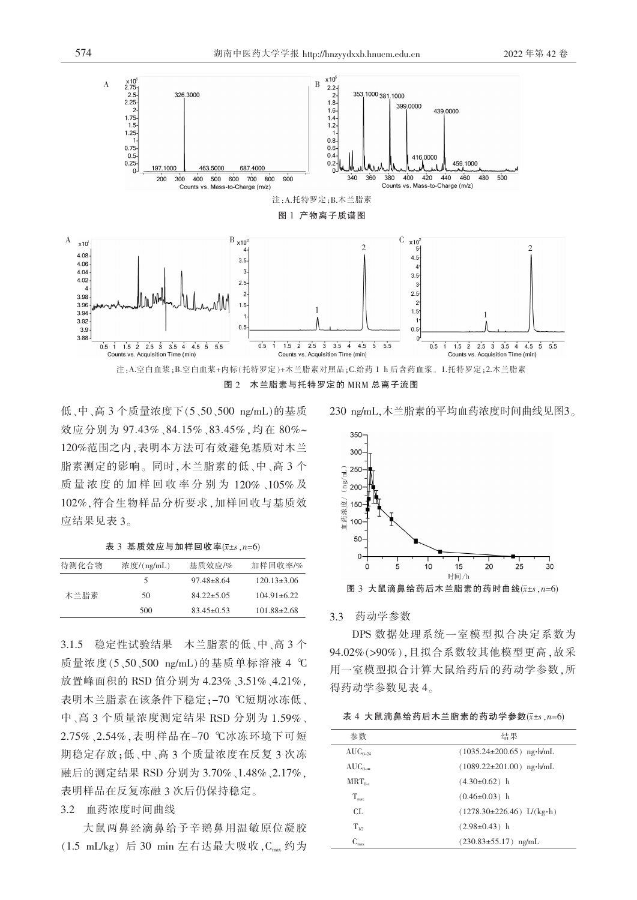

低、中、高3个质量浓度下(5、50、500 ng/mL)的基质 效应分别为 97.43%、84.15%、83.45%,均在 80%~ 120%范围之内,表明本方法可有效避免基质对木兰 脂素测定的影响。同时,木兰脂素的低、中、高3个 质量浓度的加样回收率分别为 120%、105%及 102%,符合生物样品分析要求,加样回收与基质效 应结果见表 3。

表 3 基质效应与加样回收率 $(\bar{x}$ ±s  $n=6)$ 

| 待测化合物 | 浓度/(ng/mL) | 基质效应/%           | 加样回收率/%           |
|-------|------------|------------------|-------------------|
| 木兰脂素  | 5          | $97.48 \pm 8.64$ | $120.13 \pm 3.06$ |
|       | 50         | $84.22 + 5.05$   | $104.91 \pm 6.22$ |
|       | 500        | $83.45\pm0.53$   | $101.88 \pm 2.68$ |

3.1.5 稳定性试验结果 木兰脂素的低、中、高3个 质量浓度(5、50、500 ng/mL)的基质单标溶液 4 ℃ 放置峰面积的 RSD 值分别为 4.23%、3.51%、4.21%, 表明木兰脂素在该条件下稳定;-70 ℃短期冰冻低、 中、高3个质量浓度测定结果 RSD 分别为 1.59%、 2.75%、2.54%, 表明样品在-70 ℃冰冻环境下可短 期稳定存放:低、中、高3个质量浓度在反复3次冻 融后的测定结果 RSD 分别为 3.70%、1.48%、2.17%, 表明样品在反复冻融 3 次后仍保持稳定。

#### 3.2 血药浓度时间曲线

大鼠两鼻经滴鼻给予辛鹅鼻用温敏原位凝胶  $(1.5 \text{ mL/kg})$  后 30 min 左右达最大吸收,  $C_{\text{max}}$  约为

230 ng/mL, 木兰脂素的平均血药浓度时间曲线见图3。



3.3 药动学参数

DPS 数据处理系统一室模型拟合决定系数为 94.02%(>90%).且拟合系数较其他模型更高.故采 用一室模型拟合计算大鼠给药后的药动学参数,所 得药动学参数见表 4。

表 4 大鼠滴鼻给药后木兰脂素的药动学参数( $\bar{x}$ ±s, n=6)

| 参数                              | 结果                                                   |  |
|---------------------------------|------------------------------------------------------|--|
| $AUC_{0-24}$                    | $(1035.24 \pm 200.65)$ ng $\cdot$ h/mL               |  |
| $AUC_{0-\infty}$                | $(1089.22 \pm 201.00)$ ng h/mL                       |  |
| $MRT_{0-1}$                     | $(4.30\pm0.62)$ h                                    |  |
| $T_{\rm max}$                   | $(0.46 \pm 0.03)$ h                                  |  |
| CL.                             | $(1278.30 \pm 226.46) \text{ L/(kg} \cdot \text{h})$ |  |
| $T_{12}$                        | $(2.98\pm0.43)$ h                                    |  |
| $C_{\scriptscriptstyle\rm max}$ | $(230.83 \pm 55.17)$ ng/mL                           |  |